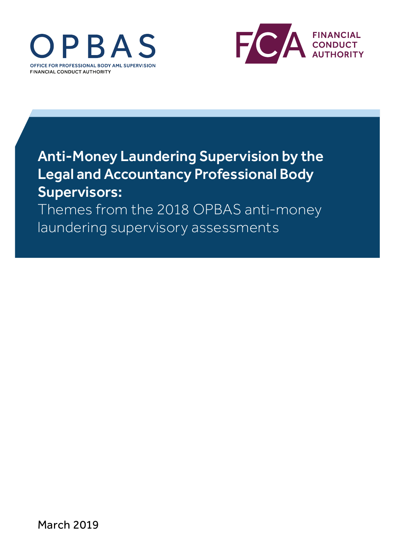



# Anti-Money Laundering Supervision by the Legal and Accountancy Professional Body Supervisors:

Themes from the 2018 OPBAS anti-money laundering supervisory assessments

March 2019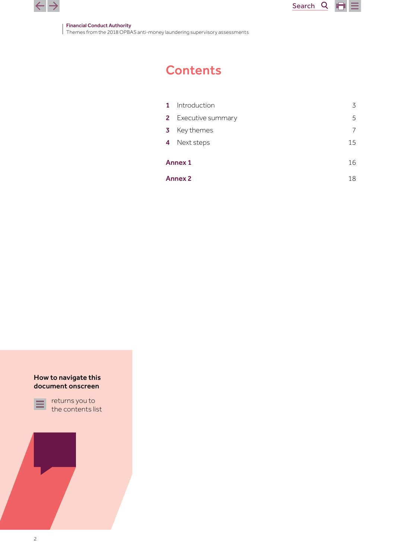

Financial Conduct Authority Themes from the 2018 OPBAS anti-money laundering supervisory assessments

## **Contents**

| 3                    |  |
|----------------------|--|
| 5                    |  |
| 7                    |  |
| 15                   |  |
| <b>Annex 1</b><br>16 |  |
| 18                   |  |
|                      |  |

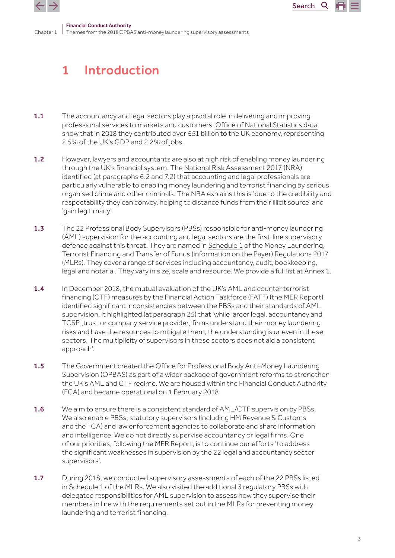<span id="page-2-0"></span>



### 1 Introduction

- 1.1 The accountancy and legal sectors play a pivotal role in delivering and improving professional services to markets and customers. [Office of National Statistics data](https://www.ons.gov.uk/economy/grossdomesticproductgdp/datasets/ukgdpolowlevelaggregates/current) show that in 2018 they contributed over £51 billion to the UK economy, representing 2.5% of the UK's GDP and 2.2% of jobs.
- 1.2 However, lawyers and accountants are also at high risk of enabling money laundering through the UK's financial system. The [National Risk Assessment 2017](https://assets.publishing.service.gov.uk/government/uploads/system/uploads/attachment_data/file/655198/National_risk_assessment_of_money_laundering_and_terrorist_financing_2017_pdf_web.pdf) (NRA) identified (at paragraphs 6.2 and 7.2) that accounting and legal professionals are particularly vulnerable to enabling money laundering and terrorist financing by serious organised crime and other criminals. The NRA explains this is 'due to the credibility and respectability they can convey, helping to distance funds from their illicit source' and 'gain legitimacy'.
- 1.3 The 22 Professional Body Supervisors (PBSs) responsible for anti-money laundering (AML) supervision for the accounting and legal sectors are the first-line supervisory defence against this threat. They are named in [Schedule 1](http://www.legislation.gov.uk/uksi/2017/692/pdfs/uksi_20170692_en.pdf#page=96) of the Money Laundering, Terrorist Financing and Transfer of Funds (information on the Payer) Regulations 2017 (MLRs). They cover a range of services including accountancy, audit, bookkeeping, legal and notarial. They vary in size, scale and resource. We provide a full list at Annex 1.
- 1.4 In December 2018, the [mutual evaluation](https://www.fatf-gafi.org/media/fatf/documents/reports/mer4/MER-United-Kingdom-2018.pdf) of the UK's AML and counter terrorist financing (CTF) measures by the Financial Action Taskforce (FATF) (the MER Report) identified significant inconsistencies between the PBSs and their standards of AML supervision. It highlighted (at paragraph 25) that 'while larger legal, accountancy and TCSP [trust or company service provider] firms understand their money laundering risks and have the resources to mitigate them, the understanding is uneven in these sectors. The multiplicity of supervisors in these sectors does not aid a consistent approach'.
- 1.5 The Government created the Office for Professional Body Anti-Money Laundering Supervision (OPBAS) as part of a wider package of government reforms to strengthen the UK's AML and CTF regime. We are housed within the Financial Conduct Authority (FCA) and became operational on 1 February 2018.
- 1.6 We aim to ensure there is a consistent standard of AML/CTF supervision by PBSs. We also enable PBSs, statutory supervisors (including HM Revenue & Customs and the FCA) and law enforcement agencies to collaborate and share information and intelligence. We do not directly supervise accountancy or legal firms. One of our priorities, following the MER Report, is to continue our efforts 'to address the significant weaknesses in supervision by the 22 legal and accountancy sector supervisors'.
- 1.7 During 2018, we conducted supervisory assessments of each of the 22 PBSs listed in Schedule 1 of the MLRs. We also visited the additional 3 regulatory PBSs with delegated responsibilities for AML supervision to assess how they supervise their members in line with the requirements set out in the MLRs for preventing money laundering and terrorist financing.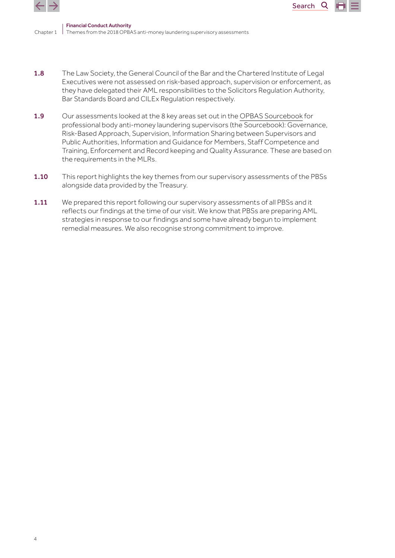

Chapter 1 Themes from the 2018 OPBAS anti-money laundering supervisory assessments Financial Conduct Authority

1.8 The Law Society, the General Council of the Bar and the Chartered Institute of Legal Executives were not assessed on risk-based approach, supervision or enforcement, as they have delegated their AML responsibilities to the Solicitors Regulation Authority, Bar Standards Board and CILEx Regulation respectively.

Search<sub>Q</sub>

- 1.9 Our assessments looked at the 8 key areas set out in the [OPBAS Sourcebook](https://fca.org.uk/publication/opbas/opbas-sourcebook.pdf) for professional body anti-money laundering supervisors (the Sourcebook): Governance, Risk-Based Approach, Supervision, Information Sharing between Supervisors and Public Authorities, Information and Guidance for Members, Staff Competence and Training, Enforcement and Record keeping and Quality Assurance. These are based on the requirements in the MLRs.
- 1.10 This report highlights the key themes from our supervisory assessments of the PBSs alongside data provided by the Treasury.
- **1.11** We prepared this report following our supervisory assessments of all PBSs and it reflects our findings at the time of our visit. We know that PBSs are preparing AML strategies in response to our findings and some have already begun to implement remedial measures. We also recognise strong commitment to improve.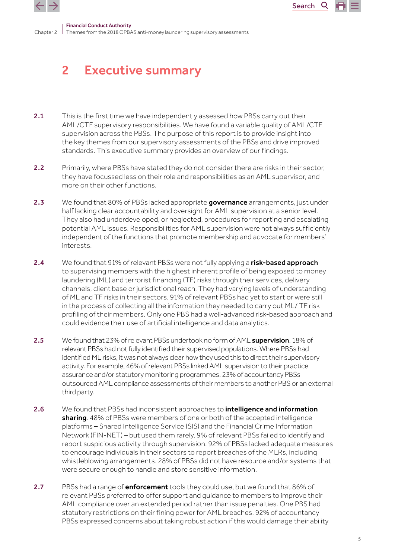<span id="page-4-0"></span>



Chanter 2 Financial Conduct Authority Themes from the 2018 OPBAS anti-money laundering supervisory assessments

## 2 Executive summary

- 2.1 This is the first time we have independently assessed how PBSs carry out their AML/CTF supervisory responsibilities. We have found a variable quality of AML/CTF supervision across the PBSs. The purpose of this report is to provide insight into the key themes from our supervisory assessments of the PBSs and drive improved standards. This executive summary provides an overview of our findings.
- 2.2 Primarily, where PBSs have stated they do not consider there are risks in their sector, they have focussed less on their role and responsibilities as an AML supervisor, and more on their other functions.
- 2.3 We found that 80% of PBSs lacked appropriate governance arrangements, just under half lacking clear accountability and oversight for AML supervision at a senior level. They also had underdeveloped, or neglected, procedures for reporting and escalating potential AML issues. Responsibilities for AML supervision were not always sufficiently independent of the functions that promote membership and advocate for members' interests.
- 2.4 We found that 91% of relevant PBSs were not fully applying a risk-based approach to supervising members with the highest inherent profile of being exposed to money laundering (ML) and terrorist financing (TF) risks through their services, delivery channels, client base or jurisdictional reach. They had varying levels of understanding of ML and TF risks in their sectors. 91% of relevant PBSs had yet to start or were still in the process of collecting all the information they needed to carry out ML/ TF risk profiling of their members. Only one PBS had a well-advanced risk-based approach and could evidence their use of artificial intelligence and data analytics.
- 2.5 We found that 23% of relevant PBSs undertook no form of AML supervision. 18% of relevant PBSs had not fully identified their supervised populations. Where PBSs had identified ML risks, it was not always clear how they used this to direct their supervisory activity. For example, 46% of relevant PBSs linked AML supervision to their practice assurance and/or statutory monitoring programmes. 23% of accountancy PBSs outsourced AML compliance assessments of their members to another PBS or an external third party.
- 2.6 We found that PBSs had inconsistent approaches to *intelligence and information* sharing. 48% of PBSs were members of one or both of the accepted intelligence platforms – Shared Intelligence Service (SIS) and the Financial Crime Information Network (FIN-NET) – but used them rarely. 9% of relevant PBSs failed to identify and report suspicious activity through supervision. 92% of PBSs lacked adequate measures to encourage individuals in their sectors to report breaches of the MLRs, including whistleblowing arrangements. 28% of PBSs did not have resource and/or systems that were secure enough to handle and store sensitive information.
- 2.7 PBSs had a range of **enforcement** tools they could use, but we found that 86% of relevant PBSs preferred to offer support and guidance to members to improve their AML compliance over an extended period rather than issue penalties. One PBS had statutory restrictions on their fining power for AML breaches. 92% of accountancy PBSs expressed concerns about taking robust action if this would damage their ability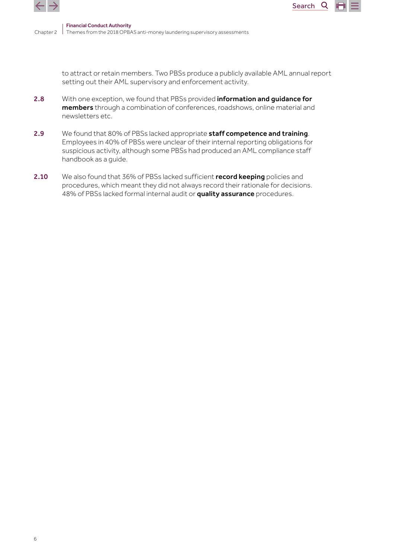



to attract or retain members. Two PBSs produce a publicly available AML annual report setting out their AML supervisory and enforcement activity.

Search

Q

- 2.8 With one exception, we found that PBSs provided information and quidance for members through a combination of conferences, roadshows, online material and newsletters etc.
- 2.9 We found that 80% of PBSs lacked appropriate staff competence and training. Employees in 40% of PBSs were unclear of their internal reporting obligations for suspicious activity, although some PBSs had produced an AML compliance staff handbook as a guide.
- 2.10 We also found that 36% of PBSs lacked sufficient **record keeping** policies and procedures, which meant they did not always record their rationale for decisions. 48% of PBSs lacked formal internal audit or quality assurance procedures.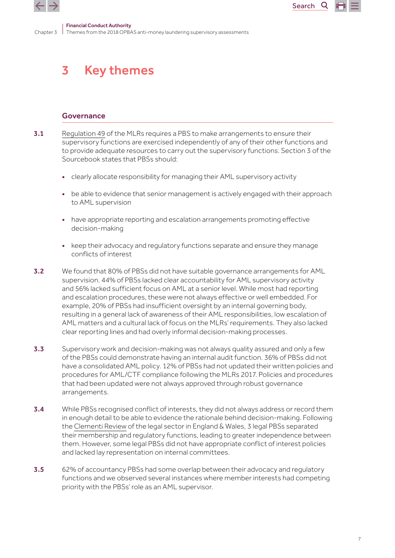<span id="page-6-0"></span>



Chapter 3 Financial Conduct Authority Themes from the 2018 OPBAS anti-money laundering supervisory assessments

## 3 Key themes

### Governance

- 3.1 Requiation 49 of the MLRs requires a PBS to make arrangements to ensure their supervisory functions are exercised independently of any of their other functions and to provide adequate resources to carry out the supervisory functions. Section 3 of the Sourcebook states that PBSs should:
	- clearly allocate responsibility for managing their AML supervisory activity
	- be able to evidence that senior management is actively engaged with their approach to AML supervision
	- have appropriate reporting and escalation arrangements promoting effective decision-making
	- keep their advocacy and regulatory functions separate and ensure they manage conflicts of interest
- 3.2 We found that 80% of PBSs did not have suitable governance arrangements for AML supervision. 44% of PBSs lacked clear accountability for AML supervisory activity and 56% lacked sufficient focus on AML at a senior level. While most had reporting and escalation procedures, these were not always effective or well embedded. For example, 20% of PBSs had insufficient oversight by an internal governing body, resulting in a general lack of awareness of their AML responsibilities, low escalation of AML matters and a cultural lack of focus on the MLRs' requirements. They also lacked clear reporting lines and had overly informal decision-making processes.
- **3.3** Supervisory work and decision-making was not always quality assured and only a few of the PBSs could demonstrate having an internal audit function. 36% of PBSs did not have a consolidated AML policy. 12% of PBSs had not updated their written policies and procedures for AML/CTF compliance following the MLRs 2017. Policies and procedures that had been updated were not always approved through robust governance arrangements.
- 3.4 While PBSs recognised conflict of interests, they did not always address or record them in enough detail to be able to evidence the rationale behind decision-making. Following the [Clementi Review](https://webarchive.nationalarchives.gov.uk/+/http:/www.legal-services-review.org.uk/content/report/report-chap.pdf) of the legal sector in England & Wales, 3 legal PBSs separated their membership and regulatory functions, leading to greater independence between them. However, some legal PBSs did not have appropriate conflict of interest policies and lacked lay representation on internal committees.
- 3.5 62% of accountancy PBSs had some overlap between their advocacy and regulatory functions and we observed several instances where member interests had competing priority with the PBSs' role as an AML supervisor.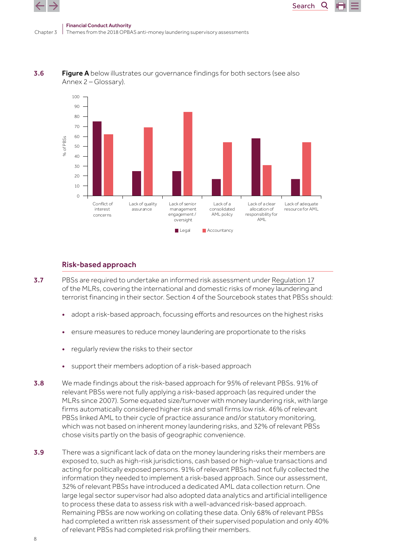$\leftarrow$  7



**3.6** Figure A below illustrates our governance findings for both sectors (see also Annex 2 – Glossary).

### Risk-based approach

- 3.7 PBSs are required to undertake an informed risk assessment under [Regulation 17](http://www.legislation.gov.uk/uksi/2017/692/pdfs/uksi_20170692_en.pdf#page=21) of the MLRs, covering the international and domestic risks of money laundering and terrorist financing in their sector. Section 4 of the Sourcebook states that PBSs should:
	- adopt a risk-based approach, focussing efforts and resources on the highest risks
	- ensure measures to reduce money laundering are proportionate to the risks
	- regularly review the risks to their sector
	- support their members adoption of a risk-based approach
- 3.8 We made findings about the risk-based approach for 95% of relevant PBSs. 91% of relevant PBSs were not fully applying a risk-based approach (as required under the MLRs since 2007). Some equated size/turnover with money laundering risk, with large firms automatically considered higher risk and small firms low risk. 46% of relevant PBSs linked AML to their cycle of practice assurance and/or statutory monitoring, which was not based on inherent money laundering risks, and 32% of relevant PBSs chose visits partly on the basis of geographic convenience.
- 3.9 There was a significant lack of data on the money laundering risks their members are exposed to, such as high-risk jurisdictions, cash based or high-value transactions and acting for politically exposed persons. 91% of relevant PBSs had not fully collected the information they needed to implement a risk-based approach. Since our assessment, 32% of relevant PBSs have introduced a dedicated AML data collection return. One large legal sector supervisor had also adopted data analytics and artificial intelligence to process these data to assess risk with a well-advanced risk-based approach. Remaining PBSs are now working on collating these data. Only 68% of relevant PBSs had completed a written risk assessment of their supervised population and only 40% of relevant PBSs had completed risk profiling their members.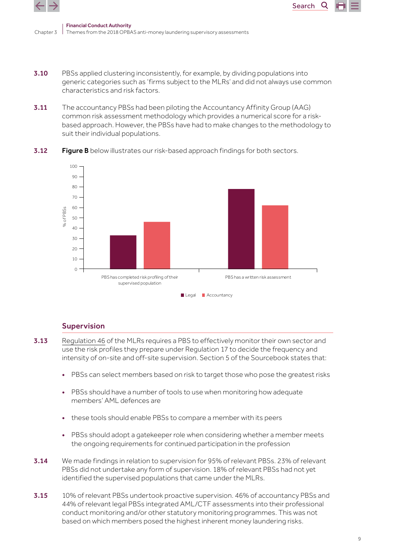

- Chanter<sub>3</sub> Financial Conduct Authority Themes from the 2018 OPBAS anti-money laundering supervisory assessments
- **3.10** PBSs applied clustering inconsistently, for example, by dividing populations into generic categories such as 'firms subject to the MLRs' and did not always use common characteristics and risk factors.
- **3.11** The accountancy PBSs had been piloting the Accountancy Affinity Group (AAG) common risk assessment methodology which provides a numerical score for a riskbased approach. However, the PBSs have had to make changes to the methodology to suit their individual populations.



**3.12** Figure B below illustrates our risk-based approach findings for both sectors.

### Supervision

- 3.13 [Regulation 46](http://www.legislation.gov.uk/uksi/2017/692/pdfs/uksi_20170692_en.pdf#page=53) of the MLRs requires a PBS to effectively monitor their own sector and use the risk profiles they prepare under Regulation 17 to decide the frequency and intensity of on-site and off-site supervision. Section 5 of the Sourcebook states that:
	- PBSs can select members based on risk to target those who pose the greatest risks
	- PBSs should have a number of tools to use when monitoring how adequate members' AML defences are
	- these tools should enable PBSs to compare a member with its peers
	- PBSs should adopt a gatekeeper role when considering whether a member meets the ongoing requirements for continued participation in the profession
- 3.14 We made findings in relation to supervision for 95% of relevant PBSs. 23% of relevant PBSs did not undertake any form of supervision. 18% of relevant PBSs had not yet identified the supervised populations that came under the MLRs.
- 3.15 10% of relevant PBSs undertook proactive supervision. 46% of accountancy PBSs and 44% of relevant legal PBSs integrated AML/CTF assessments into their professional conduct monitoring and/or other statutory monitoring programmes. This was not based on which members posed the highest inherent money laundering risks.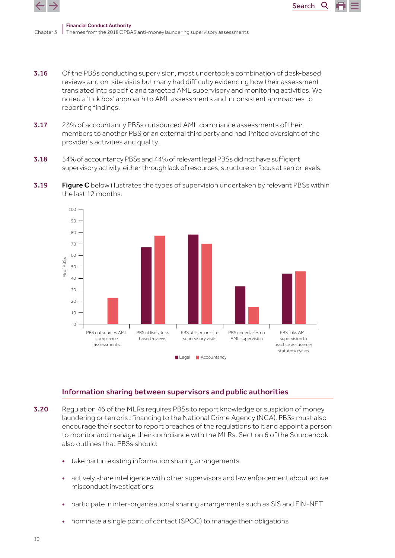

3.16 Of the PBSs conducting supervision, most undertook a combination of desk-based reviews and on-site visits but many had difficulty evidencing how their assessment translated into specific and targeted AML supervisory and monitoring activities. We noted a 'tick box' approach to AML assessments and inconsistent approaches to reporting findings.

Search

Q

- 3.17 23% of accountancy PBSs outsourced AML compliance assessments of their members to another PBS or an external third party and had limited oversight of the provider's activities and quality.
- 3.18 54% of accountancy PBSs and 44% of relevant legal PBSs did not have sufficient supervisory activity, either through lack of resources, structure or focus at senior levels.
- **3.19 Figure C** below illustrates the types of supervision undertaken by relevant PBSs within the last 12 months.



### Information sharing between supervisors and public authorities

- 3.20 [Regulation 46](http://www.legislation.gov.uk/uksi/2017/692/pdfs/uksi_20170692_en.pdf#page=54) of the MLRs requires PBSs to report knowledge or suspicion of money laundering or terrorist financing to the National Crime Agency (NCA). PBSs must also encourage their sector to report breaches of the regulations to it and appoint a person to monitor and manage their compliance with the MLRs. Section 6 of the Sourcebook also outlines that PBSs should:
	- take part in existing information sharing arrangements
	- actively share intelligence with other supervisors and law enforcement about active misconduct investigations
	- participate in inter-organisational sharing arrangements such as SIS and FIN-NET
	- nominate a single point of contact (SPOC) to manage their obligations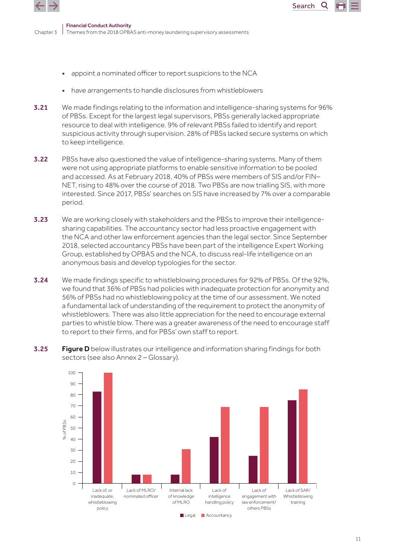



- have arrangements to handle disclosures from whistleblowers
- 3.21 We made findings relating to the information and intelligence-sharing systems for 96% of PBSs. Except for the largest legal supervisors, PBSs generally lacked appropriate resource to deal with intelligence. 9% of relevant PBSs failed to identify and report suspicious activity through supervision. 28% of PBSs lacked secure systems on which to keep intelligence.

Search

Q

- **3.22** PBSs have also questioned the value of intelligence-sharing systems. Many of them were not using appropriate platforms to enable sensitive information to be pooled and accessed. As at February 2018, 40% of PBSs were members of SIS and/or FIN– NET, rising to 48% over the course of 2018. Two PBSs are now trialling SIS, with more interested. Since 2017, PBSs' searches on SIS have increased by 7% over a comparable period.
- **3.23** We are working closely with stakeholders and the PBSs to improve their intelligencesharing capabilities. The accountancy sector had less proactive engagement with the NCA and other law enforcement agencies than the legal sector. Since September 2018, selected accountancy PBSs have been part of the intelligence Expert Working Group, established by OPBAS and the NCA, to discuss real-life intelligence on an anonymous basis and develop typologies for the sector.
- 3.24 We made findings specific to whistleblowing procedures for 92% of PBSs. Of the 92%, we found that 36% of PBSs had policies with inadequate protection for anonymity and 56% of PBSs had no whistleblowing policy at the time of our assessment. We noted a fundamental lack of understanding of the requirement to protect the anonymity of whistleblowers. There was also little appreciation for the need to encourage external parties to whistle blow. There was a greater awareness of the need to encourage staff to report to their firms, and for PBSs' own staff to report.
- **3.25 Figure D** below illustrates our intelligence and information sharing findings for both sectors (see also Annex 2 – Glossary).

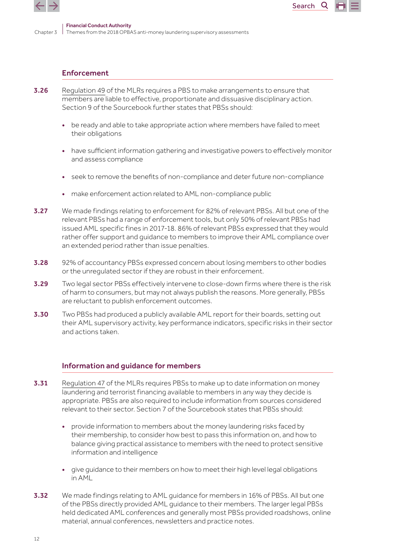

#### Enforcement

- 3.26 [Regulation 49](http://www.legislation.gov.uk/uksi/2017/692/pdfs/uksi_20170692_en.pdf#page=56) of the MLRs requires a PBS to make arrangements to ensure that members are liable to effective, proportionate and dissuasive disciplinary action. Section 9 of the Sourcebook further states that PBSs should:
	- be ready and able to take appropriate action where members have failed to meet their obligations
	- have sufficient information gathering and investigative powers to effectively monitor and assess compliance

Search<sub>Q</sub>

- seek to remove the benefits of non-compliance and deter future non-compliance
- make enforcement action related to AML non-compliance public
- **3.27** We made findings relating to enforcement for 82% of relevant PBSs. All but one of the relevant PBSs had a range of enforcement tools, but only 50% of relevant PBSs had issued AML specific fines in 2017-18. 86% of relevant PBSs expressed that they would rather offer support and guidance to members to improve their AML compliance over an extended period rather than issue penalties.
- 3.28 92% of accountancy PBSs expressed concern about losing members to other bodies or the unregulated sector if they are robust in their enforcement.
- 3.29 Two legal sector PBSs effectively intervene to close-down firms where there is the risk of harm to consumers, but may not always publish the reasons. More generally, PBSs are reluctant to publish enforcement outcomes.
- **3.30** Two PBSs had produced a publicly available AML report for their boards, setting out their AML supervisory activity, key performance indicators, specific risks in their sector and actions taken.

#### Information and guidance for members

- **3.31** [Regulation 47](http://www.legislation.gov.uk/uksi/2017/692/pdfs/uksi_20170692_en.pdf#page=54) of the MLRs reguires PBSs to make up to date information on money laundering and terrorist financing available to members in any way they decide is appropriate. PBSs are also required to include information from sources considered relevant to their sector. Section 7 of the Sourcebook states that PBSs should:
	- provide information to members about the money laundering risks faced by their membership, to consider how best to pass this information on, and how to balance giving practical assistance to members with the need to protect sensitive information and intelligence
	- give guidance to their members on how to meet their high level legal obligations in AML
- **3.32** We made findings relating to AML guidance for members in 16% of PBSs. All but one of the PBSs directly provided AML guidance to their members. The larger legal PBSs held dedicated AML conferences and generally most PBSs provided roadshows, online material, annual conferences, newsletters and practice notes.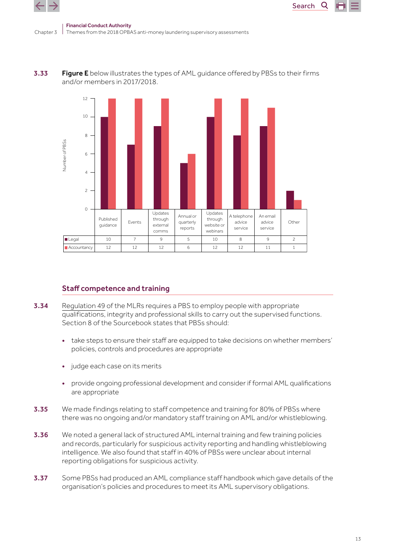



Search

Q



### Staff competence and training

- 3.34 [Regulation 49](http://www.legislation.gov.uk/uksi/2017/692/pdfs/uksi_20170692_en.pdf#page=56) of the MLRs requires a PBS to employ people with appropriate qualifications, integrity and professional skills to carry out the supervised functions. Section 8 of the Sourcebook states that PBSs should:
	- take steps to ensure their staff are equipped to take decisions on whether members' policies, controls and procedures are appropriate
	- judge each case on its merits
	- provide ongoing professional development and consider if formal AML qualifications are appropriate
- 3.35 We made findings relating to staff competence and training for 80% of PBSs where there was no ongoing and/or mandatory staff training on AML and/or whistleblowing.
- **3.36** We noted a general lack of structured AML internal training and few training policies and records, particularly for suspicious activity reporting and handling whistleblowing intelligence. We also found that staff in 40% of PBSs were unclear about internal reporting obligations for suspicious activity.
- **3.37** Some PBSs had produced an AML compliance staff handbook which gave details of the organisation's policies and procedures to meet its AML supervisory obligations.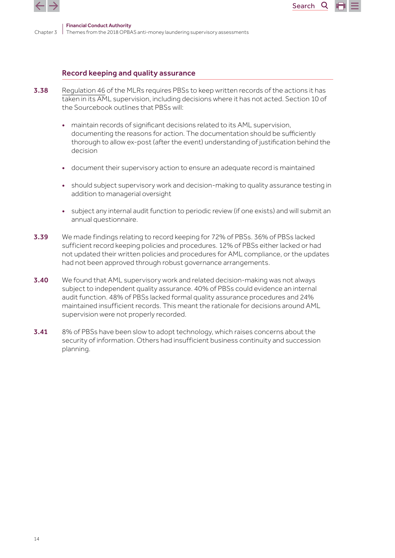

### Record keeping and quality assurance

- 3.38 [Regulation 46](http://www.legislation.gov.uk/uksi/2017/692/pdfs/uksi_20170692_en.pdf#page=53) of the MLRs requires PBSs to keep written records of the actions it has taken in its AML supervision, including decisions where it has not acted. Section 10 of the Sourcebook outlines that PBSs will:
	- maintain records of significant decisions related to its AML supervision, documenting the reasons for action. The documentation should be sufficiently thorough to allow ex-post (after the event) understanding of justification behind the decision

Search<sub>Q</sub>

- document their supervisory action to ensure an adequate record is maintained
- should subject supervisory work and decision-making to quality assurance testing in addition to managerial oversight
- subject any internal audit function to periodic review (if one exists) and will submit an annual questionnaire.
- 3.39 We made findings relating to record keeping for 72% of PBSs. 36% of PBSs lacked sufficient record keeping policies and procedures. 12% of PBSs either lacked or had not updated their written policies and procedures for AML compliance, or the updates had not been approved through robust governance arrangements.
- 3.40 We found that AML supervisory work and related decision-making was not always subject to independent quality assurance. 40% of PBSs could evidence an internal audit function. 48% of PBSs lacked formal quality assurance procedures and 24% maintained insufficient records. This meant the rationale for decisions around AML supervision were not properly recorded.
- 3.41 8% of PBSs have been slow to adopt technology, which raises concerns about the security of information. Others had insufficient business continuity and succession planning.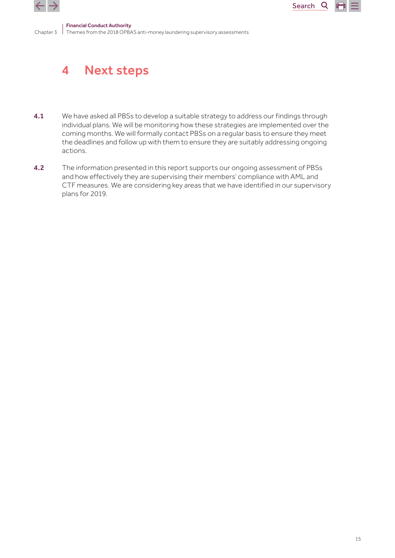<span id="page-14-0"></span>



#### Chapter 3 Themes from the 2018 OPBAS anti-money laundering supervisory assessments Financial Conduct Authority

## 4 Next steps

- **4.1** We have asked all PBSs to develop a suitable strategy to address our findings through individual plans. We will be monitoring how these strategies are implemented over the coming months. We will formally contact PBSs on a regular basis to ensure they meet the deadlines and follow up with them to ensure they are suitably addressing ongoing actions.
- 4.2 The information presented in this report supports our ongoing assessment of PBSs and how effectively they are supervising their members' compliance with AML and CTF measures. We are considering key areas that we have identified in our supervisory plans for 2019.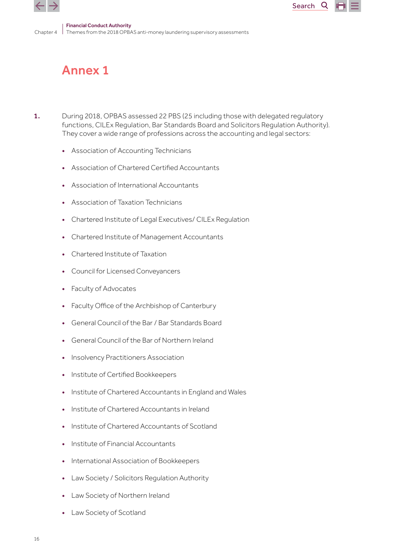<span id="page-15-0"></span>

## Annex 1

1. During 2018, OPBAS assessed 22 PBS (25 including those with delegated regulatory functions, CILEx Regulation, Bar Standards Board and Solicitors Regulation Authority). They cover a wide range of professions across the accounting and legal sectors:

Search

Q

- Association of Accounting Technicians
- Association of Chartered Certified Accountants
- Association of International Accountants
- Association of Taxation Technicians
- Chartered Institute of Legal Executives/ CILEx Regulation
- Chartered Institute of Management Accountants
- Chartered Institute of Taxation
- Council for Licensed Conveyancers
- Faculty of Advocates
- Faculty Office of the Archbishop of Canterbury
- General Council of the Bar / Bar Standards Board
- General Council of the Bar of Northern Ireland
- Insolvency Practitioners Association
- Institute of Certified Bookkeepers
- Institute of Chartered Accountants in England and Wales
- Institute of Chartered Accountants in Ireland
- Institute of Chartered Accountants of Scotland
- Institute of Financial Accountants
- International Association of Bookkeepers
- Law Society / Solicitors Regulation Authority
- Law Society of Northern Ireland
- Law Society of Scotland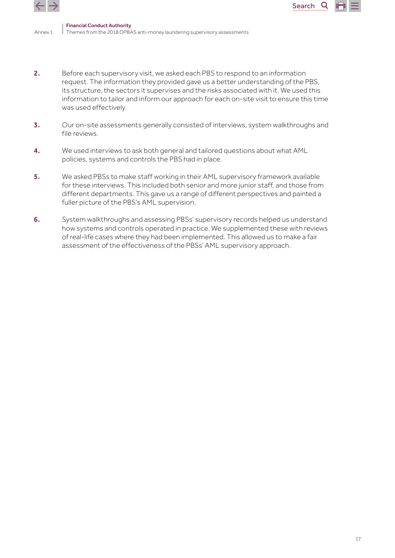

Annex 1

2. Before each supervisory visit, we asked each PBS to respond to an information request. The information they provided gave us a better understanding of the PBS, its structure, the sectors it supervises and the risks associated with it. We used this information to tailor and inform our approach for each on-site visit to ensure this time was used effectively.

Search<sub>Q</sub>

- 3. Our on-site assessments generally consisted of interviews, system walkthroughs and file reviews.
- 4. We used interviews to ask both general and tailored questions about what AML policies, systems and controls the PBS had in place.
- 5. We asked PBSs to make staff working in their AML supervisory framework available for these interviews. This included both senior and more junior staff, and those from different departments. This gave us a range of different perspectives and painted a fuller picture of the PBS's AML supervision.
- 6. System walkthroughs and assessing PBSs' supervisory records helped us understand how systems and controls operated in practice. We supplemented these with reviews of real-life cases where they had been implemented. This allowed us to make a fair assessment of the effectiveness of the PBSs' AML supervisory approach.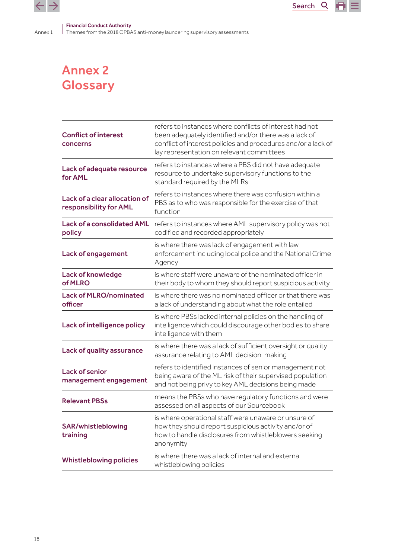<span id="page-17-0"></span>Annex 1



Financial Conduct Authority

Themes from the 2018 OPBAS anti-money laundering supervisory assessments

## Annex 2 **Glossary**

| <b>Conflict of interest</b><br>concerns                 | refers to instances where conflicts of interest had not<br>been adequately identified and/or there was a lack of<br>conflict of interest policies and procedures and/or a lack of<br>lay representation on relevant committees |
|---------------------------------------------------------|--------------------------------------------------------------------------------------------------------------------------------------------------------------------------------------------------------------------------------|
| Lack of adequate resource<br>for AML                    | refers to instances where a PBS did not have adequate<br>resource to undertake supervisory functions to the<br>standard required by the MLRs                                                                                   |
| Lack of a clear allocation of<br>responsibility for AML | refers to instances where there was confusion within a<br>PBS as to who was responsible for the exercise of that<br>function                                                                                                   |
| <b>Lack of a consolidated AML</b><br>policy             | refers to instances where AML supervisory policy was not<br>codified and recorded appropriately                                                                                                                                |
| <b>Lack of engagement</b>                               | is where there was lack of engagement with law<br>enforcement including local police and the National Crime<br>Agency                                                                                                          |
| <b>Lack of knowledge</b><br>of MLRO                     | is where staff were unaware of the nominated officer in<br>their body to whom they should report suspicious activity                                                                                                           |
| <b>Lack of MLRO/nominated</b><br>officer                | is where there was no nominated officer or that there was<br>a lack of understanding about what the role entailed                                                                                                              |
| Lack of intelligence policy                             | is where PBSs lacked internal policies on the handling of<br>intelligence which could discourage other bodies to share<br>intelligence with them                                                                               |
| <b>Lack of quality assurance</b>                        | is where there was a lack of sufficient oversight or quality<br>assurance relating to AML decision-making                                                                                                                      |
| <b>Lack of senior</b><br>management engagement          | refers to identified instances of senior management not<br>being aware of the ML risk of their supervised population<br>and not being privy to key AML decisions being made                                                    |
| <b>Relevant PBSs</b>                                    | means the PBSs who have regulatory functions and were<br>assessed on all aspects of our Sourcebook                                                                                                                             |
| <b>SAR/whistleblowing</b><br>training                   | is where operational staff were unaware or unsure of<br>how they should report suspicious activity and/or of<br>how to handle disclosures from whistleblowers seeking<br>anonymity                                             |
| <b>Whistleblowing policies</b>                          | is where there was a lack of internal and external<br>whistleblowing policies                                                                                                                                                  |